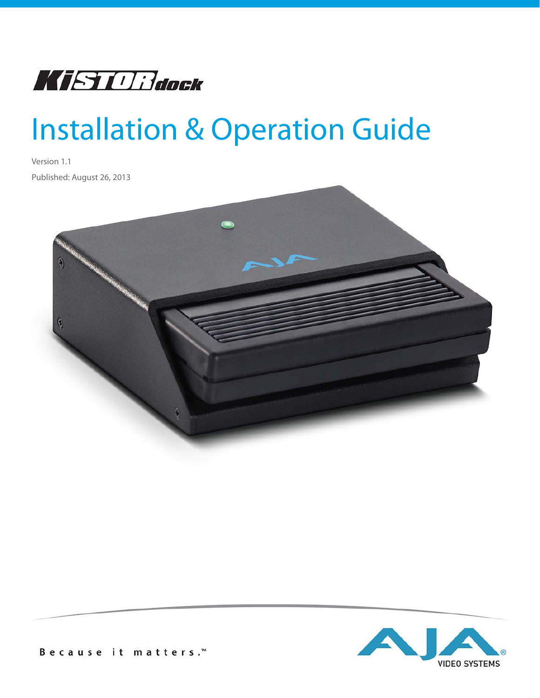

# Installation & Operation Guide

Version 1.1 Published: August 26, 2013

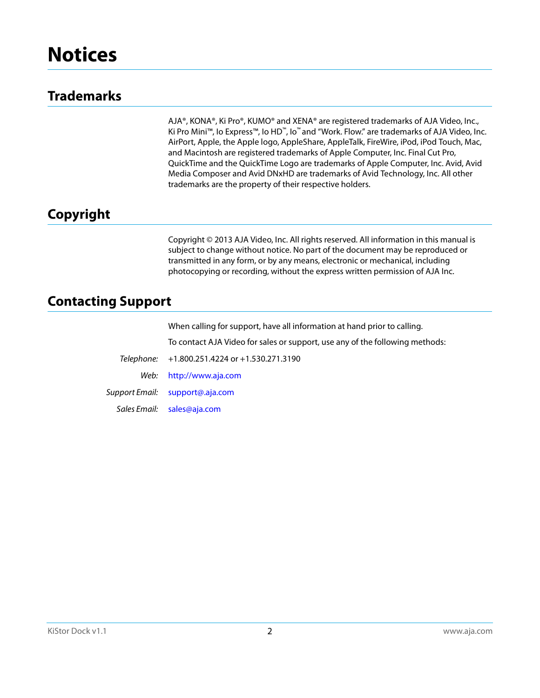## **Trademarks**

AJA®, KONA®, Ki Pro®, KUMO® and XENA® are registered trademarks of AJA Video, Inc., Ki Pro Mini™, Io Express™, Io HD™, Io™ and "Work. Flow." are trademarks of AJA Video, Inc. AirPort, Apple, the Apple logo, AppleShare, AppleTalk, FireWire, iPod, iPod Touch, Mac, and Macintosh are registered trademarks of Apple Computer, Inc. Final Cut Pro, QuickTime and the QuickTime Logo are trademarks of Apple Computer, Inc. Avid, Avid Media Composer and Avid DNxHD are trademarks of Avid Technology, Inc. All other trademarks are the property of their respective holders.

## **Copyright**

Copyright © 2013 AJA Video, Inc. All rights reserved. All information in this manual is subject to change without notice. No part of the document may be reproduced or transmitted in any form, or by any means, electronic or mechanical, including photocopying or recording, without the express written permission of AJA Inc.

## **Contacting Support**

When calling for support, have all information at hand prior to calling. To contact AJA Video for sales or support, use any of the following methods: Telephone: +1.800.251.4224 or +1.530.271.3190 Web: http://www.aja.com Support Email: support@.aja.com Sales Email: sales@aja.com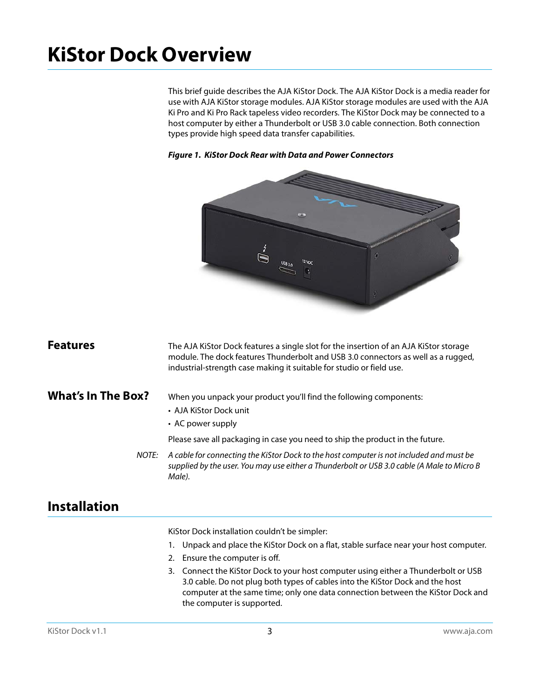## **KiStor Dock Overview**

This brief guide describes the AJA KiStor Dock. The AJA KiStor Dock is a media reader for use with AJA KiStor storage modules. AJA KiStor storage modules are used with the AJA Ki Pro and Ki Pro Rack tapeless video recorders. The KiStor Dock may be connected to a host computer by either a Thunderbolt or USB 3.0 cable connection. Both connection types provide high speed data transfer capabilities.



#### *Figure 1. KiStor Dock Rear with Data and Power Connectors*

| <sup>:</sup> eatures | The |
|----------------------|-----|
|                      | mo  |

**Features** The AJA KiStor Dock features a single slot for the insertion of an AJA KiStor storage dule. The dock features Thunderbolt and USB 3.0 connectors as well as a rugged, industrial-strength case making it suitable for studio or field use.

### What's In The Box? When you unpack your product you'll find the following components:

- AJA KiStor Dock unit
- AC power supply

Please save all packaging in case you need to ship the product in the future.

NOTE: A cable for connecting the KiStor Dock to the host computer is not included and must be supplied by the user. You may use either a Thunderbolt or USB 3.0 cable (A Male to Micro B Male).

## **Installation**

KiStor Dock installation couldn't be simpler:

- 1. Unpack and place the KiStor Dock on a flat, stable surface near your host computer.
- 2. Ensure the computer is off.
- 3. Connect the KiStor Dock to your host computer using either a Thunderbolt or USB 3.0 cable. Do not plug both types of cables into the KiStor Dock and the host computer at the same time; only one data connection between the KiStor Dock and the computer is supported.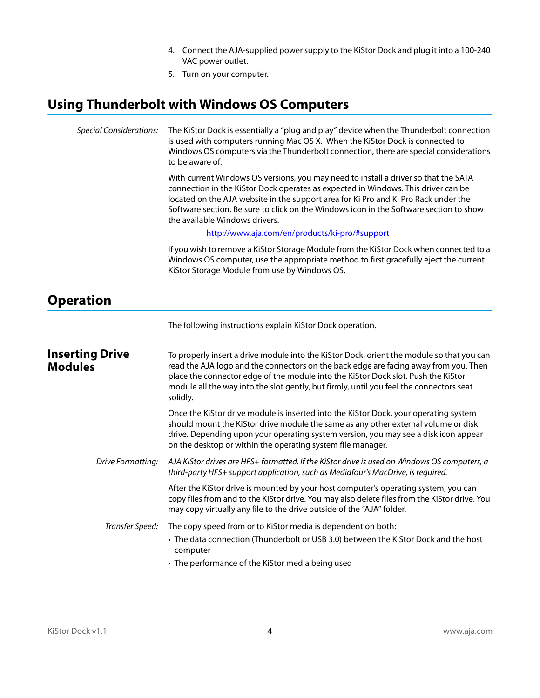- 4. Connect the AJA-supplied power supply to the KiStor Dock and plug it into a 100-240 VAC power outlet.
- 5. Turn on your computer.

## **Using Thunderbolt with Windows OS Computers**

| <b>Special Considerations:</b>           | The KiStor Dock is essentially a "plug and play" device when the Thunderbolt connection<br>is used with computers running Mac OS X. When the KiStor Dock is connected to<br>Windows OS computers via the Thunderbolt connection, there are special considerations<br>to be aware of.                                                                                                        |  |  |
|------------------------------------------|---------------------------------------------------------------------------------------------------------------------------------------------------------------------------------------------------------------------------------------------------------------------------------------------------------------------------------------------------------------------------------------------|--|--|
|                                          | With current Windows OS versions, you may need to install a driver so that the SATA<br>connection in the KiStor Dock operates as expected in Windows. This driver can be<br>located on the AJA website in the support area for Ki Pro and Ki Pro Rack under the<br>Software section. Be sure to click on the Windows icon in the Software section to show<br>the available Windows drivers. |  |  |
|                                          | http://www.aja.com/en/products/ki-pro/#support                                                                                                                                                                                                                                                                                                                                              |  |  |
|                                          | If you wish to remove a KiStor Storage Module from the KiStor Dock when connected to a<br>Windows OS computer, use the appropriate method to first gracefully eject the current<br>KiStor Storage Module from use by Windows OS.                                                                                                                                                            |  |  |
| <b>Operation</b>                         |                                                                                                                                                                                                                                                                                                                                                                                             |  |  |
|                                          | The following instructions explain KiStor Dock operation.                                                                                                                                                                                                                                                                                                                                   |  |  |
| <b>Inserting Drive</b><br><b>Modules</b> | To properly insert a drive module into the KiStor Dock, orient the module so that you can<br>read the AJA logo and the connectors on the back edge are facing away from you. Then<br>place the connector edge of the module into the KiStor Dock slot. Push the KiStor<br>module all the way into the slot gently, but firmly, until you feel the connectors seat<br>solidly.               |  |  |
|                                          | Once the KiStor drive module is inserted into the KiStor Dock, your operating system<br>should mount the KiStor drive module the same as any other external volume or disk<br>drive. Depending upon your operating system version, you may see a disk icon appear<br>on the desktop or within the operating system file manager.                                                            |  |  |
| Drive Formatting:                        | AJA KiStor drives are HFS+ formatted. If the KiStor drive is used on Windows OS computers, a<br>third-party HFS+ support application, such as Mediafour's MacDrive, is required.                                                                                                                                                                                                            |  |  |
|                                          | After the KiStor drive is mounted by your host computer's operating system, you can<br>copy files from and to the KiStor drive. You may also delete files from the KiStor drive. You<br>may copy virtually any file to the drive outside of the "AJA" folder.                                                                                                                               |  |  |
| Transfer Speed:                          | The copy speed from or to KiStor media is dependent on both:                                                                                                                                                                                                                                                                                                                                |  |  |
|                                          | • The data connection (Thunderbolt or USB 3.0) between the KiStor Dock and the host<br>computer                                                                                                                                                                                                                                                                                             |  |  |
|                                          | • The performance of the KiStor media being used                                                                                                                                                                                                                                                                                                                                            |  |  |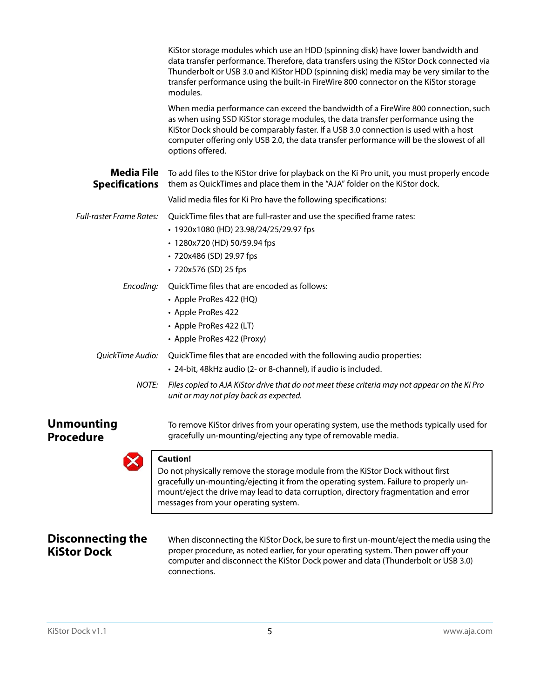|                                            | KiStor storage modules which use an HDD (spinning disk) have lower bandwidth and<br>data transfer performance. Therefore, data transfers using the KiStor Dock connected via<br>Thunderbolt or USB 3.0 and KiStor HDD (spinning disk) media may be very similar to the<br>transfer performance using the built-in FireWire 800 connector on the KiStor storage<br>modules.      |
|--------------------------------------------|---------------------------------------------------------------------------------------------------------------------------------------------------------------------------------------------------------------------------------------------------------------------------------------------------------------------------------------------------------------------------------|
|                                            | When media performance can exceed the bandwidth of a FireWire 800 connection, such<br>as when using SSD KiStor storage modules, the data transfer performance using the<br>KiStor Dock should be comparably faster. If a USB 3.0 connection is used with a host<br>computer offering only USB 2.0, the data transfer performance will be the slowest of all<br>options offered. |
| <b>Media File</b><br><b>Specifications</b> | To add files to the KiStor drive for playback on the Ki Pro unit, you must properly encode<br>them as QuickTimes and place them in the "AJA" folder on the KiStor dock.                                                                                                                                                                                                         |
|                                            | Valid media files for Ki Pro have the following specifications:                                                                                                                                                                                                                                                                                                                 |
| <b>Full-raster Frame Rates:</b>            | QuickTime files that are full-raster and use the specified frame rates:<br>• 1920x1080 (HD) 23.98/24/25/29.97 fps<br>• 1280x720 (HD) 50/59.94 fps<br>• 720x486 (SD) 29.97 fps<br>• 720x576 (SD) 25 fps                                                                                                                                                                          |
| Encoding:                                  | QuickTime files that are encoded as follows:<br>• Apple ProRes 422 (HQ)<br>• Apple ProRes 422<br>• Apple ProRes 422 (LT)<br>• Apple ProRes 422 (Proxy)                                                                                                                                                                                                                          |
| OuickTime Audio:                           | QuickTime files that are encoded with the following audio properties:<br>• 24-bit, 48kHz audio (2- or 8-channel), if audio is included.                                                                                                                                                                                                                                         |
| NOTE:                                      | Files copied to AJA KiStor drive that do not meet these criteria may not appear on the Ki Pro<br>unit or may not play back as expected.                                                                                                                                                                                                                                         |
| <b>Unmounting</b><br><b>Procedure</b>      | To remove KiStor drives from your operating system, use the methods typically used for<br>gracefully un-mounting/ejecting any type of removable media.                                                                                                                                                                                                                          |
|                                            | <b>Caution!</b><br>Do not physically remove the storage module from the KiStor Dock without first<br>gracefully un-mounting/ejecting it from the operating system. Failure to properly un-<br>mount/eject the drive may lead to data corruption, directory fragmentation and error                                                                                              |

### **Disconnecting the KiStor Dock**

When disconnecting the KiStor Dock, be sure to first un-mount/eject the media using the proper procedure, as noted earlier, for your operating system. Then power off your computer and disconnect the KiStor Dock power and data (Thunderbolt or USB 3.0) connections.

messages from your operating system.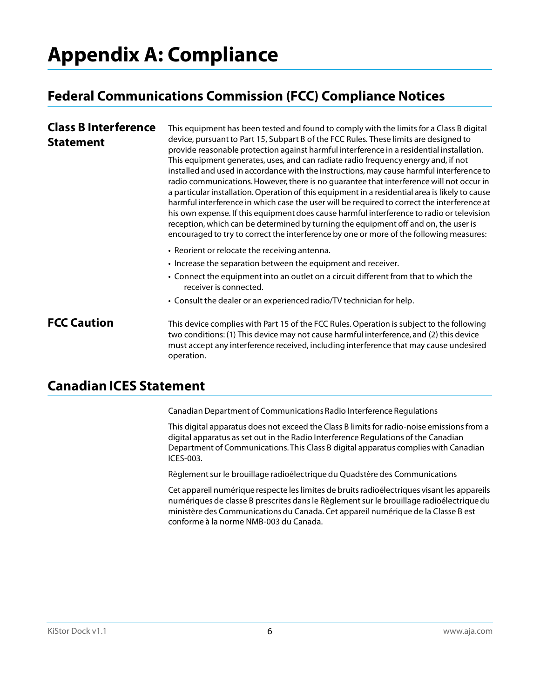## **Appendix A: Compliance**

## **Federal Communications Commission (FCC) Compliance Notices**

#### **Class B Interference Statement** This equipment has been tested and found to comply with the limits for a Class B digital device, pursuant to Part 15, Subpart B of the FCC Rules. These limits are designed to provide reasonable protection against harmful interference in a residential installation. This equipment generates, uses, and can radiate radio frequency energy and, if not installed and used in accordance with the instructions, may cause harmful interference to radio communications. However, there is no guarantee that interference will not occur in a particular installation. Operation of this equipment in a residential area is likely to cause harmful interference in which case the user will be required to correct the interference at his own expense. If this equipment does cause harmful interference to radio or television reception, which can be determined by turning the equipment off and on, the user is encouraged to try to correct the interference by one or more of the following measures: • Reorient or relocate the receiving antenna. • Increase the separation between the equipment and receiver.

- Connect the equipment into an outlet on a circuit different from that to which the receiver is connected.
- Consult the dealer or an experienced radio/TV technician for help.

**FCC Caution** This device complies with Part 15 of the FCC Rules. Operation is subject to the following two conditions: (1) This device may not cause harmful interference, and (2) this device must accept any interference received, including interference that may cause undesired operation.

## **Canadian ICES Statement**

Canadian Department of Communications Radio Interference Regulations

This digital apparatus does not exceed the Class B limits for radio-noise emissions from a digital apparatus as set out in the Radio Interference Regulations of the Canadian Department of Communications. This Class B digital apparatus complies with Canadian ICES-003.

Règlement sur le brouillage radioélectrique du Quadstère des Communications

Cet appareil numérique respecte les limites de bruits radioélectriques visant les appareils numériques de classe B prescrites dans le Règlement sur le brouillage radioélectrique du ministère des Communications du Canada. Cet appareil numérique de la Classe B est conforme à la norme NMB-003 du Canada.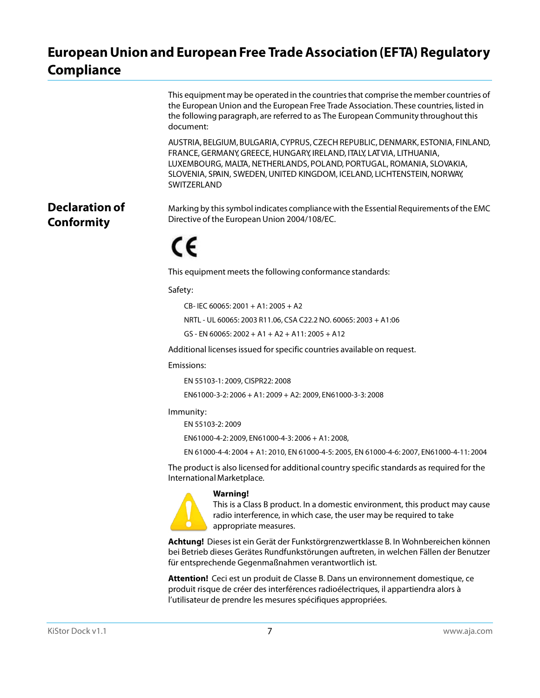## **European Union and European Free Trade Association (EFTA) Regulatory Compliance**

| the European Union and the European Free Trade Association. These countries, listed in<br>document: | the following paragraph, are referred to as The European Community throughout this                                                                                                                                                                                                                        |
|-----------------------------------------------------------------------------------------------------|-----------------------------------------------------------------------------------------------------------------------------------------------------------------------------------------------------------------------------------------------------------------------------------------------------------|
|                                                                                                     | AUSTRIA, BELGIUM, BULGARIA, CYPRUS, CZECH REPUBLIC, DENMARK, ESTONIA, FINLAND,<br>FRANCE, GERMANY, GREECE, HUNGARY, IRELAND, ITALY, LATVIA, LITHUANIA,<br>LUXEMBOURG, MALTA, NETHERLANDS, POLAND, PORTUGAL, ROMANIA, SLOVAKIA,<br>SLOVENIA, SPAIN, SWEDEN, UNITED KINGDOM, ICELAND, LICHTENSTEIN, NORWAY, |

**Declaration of Conformity**

Marking by this symbol indicates compliance with the Essential Requirements of the EMC Directive of the European Union 2004/108/EC.

# CE

SWITZERLAND

This equipment meets the following conformance standards:

Safety:

CB- IEC 60065: 2001 + A1: 2005 + A2

NRTL - UL 60065: 2003 R11.06, CSA C22.2 NO. 60065: 2003 + A1:06

GS - EN 60065: 2002 + A1 + A2 + A11: 2005 + A12

Additional licenses issued for specific countries available on request.

#### Emissions:

EN 55103-1: 2009, CISPR22: 2008

EN61000-3-2: 2006 + A1: 2009 + A2: 2009, EN61000-3-3: 2008

#### Immunity:

EN 55103-2: 2009

EN61000-4-2: 2009, EN61000-4-3: 2006 + A1: 2008,

EN 61000-4-4: 2004 + A1: 2010, EN 61000-4-5: 2005, EN 61000-4-6: 2007, EN61000-4-11: 2004

The product is also licensed for additional country specific standards as required for the International Marketplace.

#### **Warning!**



This is a Class B product. In a domestic environment, this product may cause radio interference, in which case, the user may be required to take appropriate measures.

**Achtung!** Dieses ist ein Gerät der Funkstörgrenzwertklasse B. In Wohnbereichen können bei Betrieb dieses Gerätes Rundfunkstörungen auftreten, in welchen Fällen der Benutzer für entsprechende Gegenmaßnahmen verantwortlich ist.

**Attention!** Ceci est un produit de Classe B. Dans un environnement domestique, ce produit risque de créer des interférences radioélectriques, il appartiendra alors à l'utilisateur de prendre les mesures spécifiques appropriées.